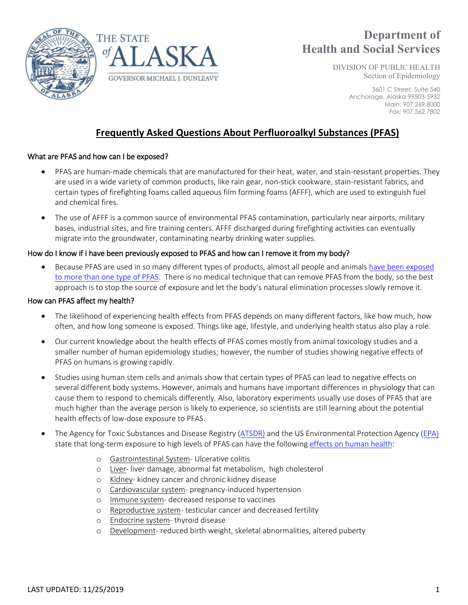



# **Department of Health and Social Services**

DIVISION OF PUBLIC HEALTH Section of Epidemiology

> 3601 C Street, Suite 540 Anchorage, Alaska 99503-5932 Main: 907.269.8000 Fax: 907.562.7802

## **Frequently Asked Questions About Perfluoroalkyl Substances (PFAS)**

## What are PFAS and how can I be exposed?

- PFAS are human-made chemicals that are manufactured for their heat, water, and stain-resistant properties. They are used in a wide variety of common products, like rain gear, non-stick cookware, stain-resistant fabrics, and certain types of firefighting foams called aqueous film forming foams (AFFF), which are used to extinguish fuel and chemical fires.
- The use of AFFF is a common source of environmental PFAS contamination, particularly near airports, military bases, industrial sites, and fire training centers. AFFF discharged during firefighting activities can eventually migrate into the groundwater, contaminating nearby drinking water supplies.

## How do I know if I have been previously exposed to PFAS and how can I remove it from my body?

• Because PFAS are used in so many different types of products, almost all people and animal[s have been exposed](https://www.atsdr.cdc.gov/pfas/pfas-blood-testing.html)  [to more than one type of PFAS.](https://www.atsdr.cdc.gov/pfas/pfas-blood-testing.html) There is no medical technique that can remove PFAS from the body, so the best approach is to stop the source of exposure and let the body's natural elimination processes slowly remove it.

## How can PFAS affect my health?

- The likelihood of experiencing health effects from PFAS depends on many different factors, like how much, how often, and how long someone is exposed. Things like age, lifestyle, and underlying health status also play a role.
- Our current knowledge about the health effects of PFAS comes mostly from animal toxicology studies and a smaller number of human epidemiology studies; however, the number of studies showing negative effects of PFAS on humans is growing rapidly.
- Studies using human stem cells and animals show that certain types of PFAS can lead to negative effects on several different body systems. However, animals and humans have important differences in physiology that can cause them to respond to chemicals differently. Also, laboratory experiments usually use doses of PFAS that are much higher than the average person is likely to experience, so scientists are still learning about the potential health effects of low-dose exposure to PFAS.
- The Agency for Toxic Substances and Disease Registry [\(ATSDR\)](https://www.atsdr.cdc.gov/ToxProfiles/tp.asp?id=1117&tid=237) and the US Environmental Protection Agency [\(EPA\)](https://www.epa.gov/pfas/basic-information-pfas) state that long-term exposure to high levels of PFAS can have the following [effects on human health:](http://www.c8sciencepanel.org/prob_link.html)
	- o Gastrointestinal System- Ulcerative colitis
	- o Liver- liver damage, abnormal fat metabolism, high cholesterol
	- o Kidney- kidney cancer and chronic kidney disease
	- o Cardiovascular system- pregnancy-induced hypertension
	- o Immune system- decreased response to vaccines
	- o Reproductive system- testicular cancer and decreased fertility
	- o Endocrine system- thyroid disease
	- o Development- reduced birth weight, skeletal abnormalities, altered puberty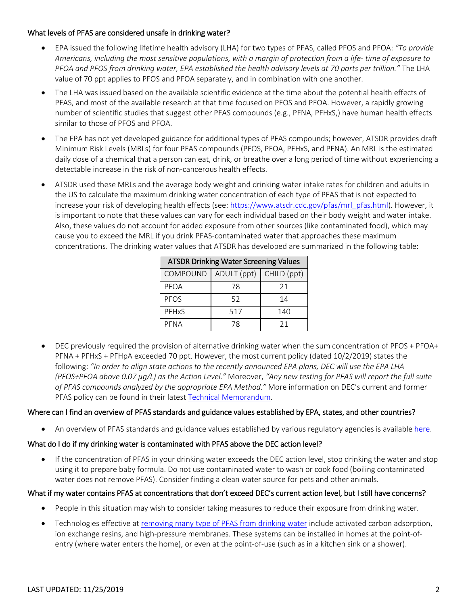## What levels of PFAS are considered unsafe in drinking water?

- EPA issued the following [lifetime health advisory](https://www.epa.gov/ground-water-and-drinking-water/drinking-water-health-advisories-pfoa-and-pfos) (LHA) for two types of PFAS, called PFOS and PFOA: *"To provide Americans, including the most sensitive populations, with a margin of protection from a life- time of exposure to PFOA and PFOS from drinking water, EPA established the health advisory levels at 70 parts per trillion."* The LHA value of 70 ppt applies to PFOS and PFOA separately, and in combination with one another.
- The LHA was issued based on the available scientific evidence at the time about the potential health effects of PFAS, and most of the available research at that time focused on PFOS and PFOA. However, a rapidly growing number of scientific studies that suggest other PFAS compounds (e.g., PFNA, PFHxS,) have human health effects similar to those of PFOS and PFOA.
- The EPA has not yet developed guidance for additional types of PFAS compounds; however, ATSDR provides draft Minimum Risk Levels [\(MRLs](https://www.atsdr.cdc.gov/toxprofiles/tp.asp?id=1117&tid=237)) for four PFAS compounds (PFOS, PFOA, PFHxS, and PFNA). An MRL is the estimated daily dose of a chemical that a person can eat, drink, or breathe over a long period of time without experiencing a detectable increase in the risk of non-cancerous health effects.
- ATSDR used these MRLs and the average body weight and drinking water intake rates for children and adults in the US to calculate the maximum drinking water concentration of each type of PFAS that is not expected to increase your risk of developing health effects (see: [https://www.atsdr.cdc.gov/pfas/mrl\\_pfas.html\)](https://www.atsdr.cdc.gov/pfas/mrl_pfas.html). However, it is important to note that these values can vary for each individual based on their body weight and water intake. Also, these values do not account for added exposure from other sources (like contaminated food), which may cause you to exceed the MRL if you drink PFAS-contaminated water that approaches these maximum concentrations. The drinking water values that ATSDR has developed are summarized in the following table:

| <b>ATSDR Drinking Water Screening Values</b> |             |             |
|----------------------------------------------|-------------|-------------|
| COMPOUND                                     | ADULT (ppt) | CHILD (ppt) |
| PFOA                                         | 78          | 21          |
| PFOS                                         | 52          | 14          |
| PFHxS                                        | 517         | 140         |
| PFNA                                         | 78          | 21          |

• DEC previously required the provision of alternative drinking water when the sum concentration of PFOS + PFOA+ PFNA + PFHxS + PFHpA exceeded 70 ppt. However, the most current policy (dated 10/2/2019) states the following: *"In order to align state actions to the recently announced EPA plans, DEC will use the EPA LHA (PFOS+PFOA above 0.07 µg/L) as the Action Level."* Moreover, *"Any new testing for PFAS will report the full suite of PFAS compounds analyzed by the appropriate EPA Method."* More information on DEC's current and former PFAS policy can be found in their latest [Technical Memorandum.](https://dec.alaska.gov/media/15773/pfas-drinking-water-action-levels-technical-memorandum-10-2-19.pdf)

## Where can I find an overview of PFAS standards and guidance values established by EPA, states, and other countries?

• An overview of PFAS standards and guidance values established by various regulatory agencies is available [here.](https://www.itrcweb.org/about/2018-updated-information-on-pfas-standards-and_guidance-values)

## What do I do if my drinking water is contaminated with PFAS above the DEC action level?

• If the concentration of PFAS in your drinking water exceeds the DEC action level, stop drinking the water and stop using it to prepare baby formula. Do not use contaminated water to wash or cook food (boiling contaminated water does not remove PFAS). Consider finding a clean water source for pets and other animals.

## What if my water contains PFAS at concentrations that don't exceed DEC's current action level, but I still have concerns?

- People in this situation may wish to consider taking measures to reduce their exposure from drinking water.
- Technologies effective a[t removing many type of PFAS from drinking water](https://www.epa.gov/sciencematters/reducing-pfas-drinking-water-treatment-technologies) include activated carbon adsorption, ion exchange resins, and high-pressure membranes. These systems can be installed in homes at the point-ofentry (where water enters the home), or even at the point-of-use (such as in a kitchen sink or a shower).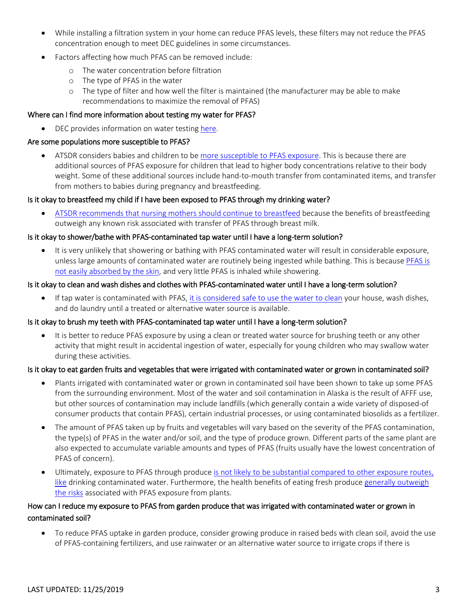- While installing a filtration system in your home can reduce PFAS levels, these filters may not reduce the PFAS concentration enough to meet DEC guidelines in some circumstances.
- Factors affecting how much PFAS can be removed include:
	- o The water concentration before filtration
	- o The type of PFAS in the water
	- o The type of filter and how well the filter is maintained (the manufacturer may be able to make recommendations to maximize the removal of PFAS)

#### Where can I find more information about testing my water for PFAS?

• DEC provides information on water testin[g here.](https://dec.alaska.gov/spar/csp/pfas/fact-sheets/)

#### Are some populations more susceptible to PFAS?

• ATSDR considers babies and children to be [more susceptible to PFAS exposure.](https://www.atsdr.cdc.gov/toxprofiles/tp200-c3.pdf) This is because there are additional sources of PFAS exposure for children that lead to higher body concentrations relative to their body weight. Some of these additional sources include hand-to-mouth transfer from contaminated items, and transfer from mothers to babies during pregnancy and breastfeeding.

#### Is it okay to breastfeed my child if I have been exposed to PFAS through my drinking water?

• [ATSDR recommends that nursing mothers should continue to breastfeed](https://www.atsdr.cdc.gov/pfas/pfas-exposure.html) because the benefits of breastfeeding outweigh any known risk associated with transfer of PFAS through breast milk.

#### Is it okay to shower/bathe with PFAS-contaminated tap water until I have a long-term solution?

It is very unlikely that showering or bathing with PFAS contaminated water will result in considerable exposure, unless large amounts of contaminated water are routinely being ingested while bathing. This is becaus[e PFAS is](https://www.atsdr.cdc.gov/pfas/pfas-exposure.html)  [not easily absorbed by the skin,](https://www.atsdr.cdc.gov/pfas/pfas-exposure.html) and very little PFAS is inhaled while showering.

#### Is it okay to clean and wash dishes and clothes with PFAS-contaminated water until I have a long-term solution?

• If tap water is contaminated with PFAS, [it is considered safe to use the water to clean](https://www.atsdr.cdc.gov/pfas/pfas-exposure.html) your house, wash dishes, and do laundry until a treated or alternative water source is available.

#### Is it okay to brush my teeth with PFAS-contaminated tap water until I have a long-term solution?

• It is better to reduce PFAS exposure by using a clean or treated water source for brushing teeth or any other activity that might result in accidental ingestion of water, especially for young children who may swallow water during these activities.

#### Is it okay to eat garden fruits and vegetables that were irrigated with contaminated water or grown in contaminated soil?

- Plants irrigated with contaminated water or grown in contaminated soil have been shown to take up some PFAS from the surrounding environment. Most of the water and soil contamination in Alaska is the result of AFFF use, but other sources of contamination may include landfills (which generally contain a wide variety of disposed-of consumer products that contain PFAS), certain industrial processes, or using contaminated biosolids as a fertilizer.
- The amount of PFAS taken up by fruits and vegetables will vary based on the severity of the PFAS contamination, the type(s) of PFAS in the water and/or soil, and the type of produce grown. Different parts of the same plant are also expected to accumulate variable amounts and types of PFAS (fruits usually have the lowest concentration of PFAS of concern).
- Ultimately, exposure to PFAS through produce [is not likely to be substantial compared to other exposure routes,](https://efsa.onlinelibrary.wiley.com/doi/epdf/10.2903/j.efsa.2012.2743) like drinking contaminated water. Furthermore, the health benefits of eating fresh produce generally outweigh the risks associated with PFAS exposure from plants.

## How can I reduce my exposure to PFAS from garden produce that was irrigated with contaminated water or grown in contaminated soil?

• To reduce PFAS uptake in garden produce, consider growing produce in raised beds with clean soil, avoid the use of PFAS-containing fertilizers, and use rainwater or an alternative water source to irrigate crops if there is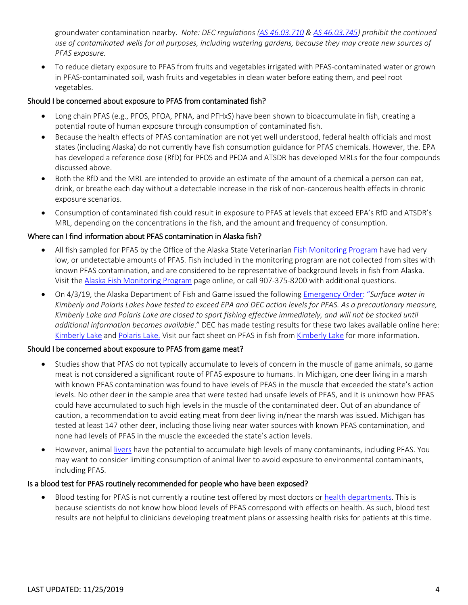groundwater contamination nearby. *Note: DEC regulations [\(AS 46.03.710](http://www.akleg.gov/basis/statutes.asp#46.03.710) & [AS 46.03.745\)](http://www.akleg.gov/basis/statutes.asp#46.03.745) prohibit the continued use of contaminated wells for all purposes, including watering gardens, because they may create new sources of PFAS exposure.*

• To reduce dietary exposure to PFAS from fruits and vegetables irrigated with PFAS-contaminated water or grown in PFAS-contaminated soil, wash fruits and vegetables in clean water before eating them, and peel root vegetables.

## Should I be concerned about exposure to PFAS from contaminated fish?

- Long chain PFAS (e.g., PFOS, PFOA, PFNA, and PFHxS) have been shown to bioaccumulate in fish, creating a potential route of human exposure through consumption of contaminated fish.
- Because the health effects of PFAS contamination are not yet well understood, federal health officials and most states (including Alaska) do not currently have fish consumption guidance for PFAS chemicals. However, the. EPA has developed a reference dose (RfD) for PFOS and PFOA and ATSDR has developed MRLs for the four compounds discussed above.
- Both the RfD and the MRL are intended to provide an estimate of the amount of a chemical a person can eat, drink, or breathe each day without a detectable increase in the risk of non-cancerous health effects in chronic exposure scenarios.
- Consumption of contaminated fish could result in exposure to PFAS at levels that exceed EPA's RfD and ATSDR's MRL, depending on the concentrations in the fish, and the amount and frequency of consumption.

## Where can I find information about PFAS contamination in Alaska fish?

- All fish sampled for PFAS by the Office of the Alaska State Veterinarian [Fish Monitoring Program](https://dec.alaska.gov/media/14454/pfasinalaskanfish-20190301.pdf) have had very low, or undetectable amounts of PFAS. Fish included in the monitoring program are not collected from sites with known PFAS contamination, and are considered to be representative of background levels in fish from Alaska. Visit th[e Alaska Fish Monitoring Program](https://dec.alaska.gov/eh/vet/fish-monitoring-program/) page online, or call 907-375-8200 with additional questions.
- On 4/3/19, the Alaska Department of Fish and Game issued the following [Emergency Order:](https://www.adfg.alaska.gov/sf/EONR/index.cfm?ADFG=region.NR&Year=2019&NRID=2720) "*Surface water in Kimberly and Polaris Lakes have tested to exceed EPA and DEC action levels for PFAS. As a precautionary measure, Kimberly Lake and Polaris Lake are closed to sport fishing effective immediately, and will not be stocked until additional information becomes available*." DEC has made testing results for these two lakes available online here: [Kimberly Lake](https://dec.alaska.gov/spar/csp/sites/north-pole-refinery.aspx) and [Polaris Lake.](http://dec.alaska.gov/Applications/SPAR/PublicMVC/CSP/SiteReport/26627) Visit our fact sheet on PFAS in fish fro[m Kimberly Lake](http://dhss.alaska.gov/dph/Epi/eph/Documents/PFCs/DHSSKimberlyLakeFS.pdf) for more information.

#### Should I be concerned about exposure to PFAS from game meat?

- Studies show that PFAS do not typically accumulate to levels of concern in the muscle of game animals, so game meat is not considered a significant route of PFAS exposure to humans. In Michigan, one deer living in a marsh with known PFAS contamination was found to have levels of PFAS in the muscle that exceeded the state's action levels. No other deer in the sample area that were tested had unsafe levels of PFAS, and it is unknown how PFAS could have accumulated to such high levels in the muscle of the contaminated deer. Out of an abundance of caution, a recommendation to avoid eating meat from deer living in/near the marsh was issued. Michigan has tested at least 147 other deer, including those living near water sources with known PFAS contamination, and none had levels of PFAS in the muscle the exceeded the state's action levels.
- However, animal [livers](http://www.ec.gc.ca/ese-ees/default.asp?lang=en&n=38e6993c-1) have the potential to accumulate high levels of many contaminants, including PFAS. You may want to consider limiting consumption of animal liver to avoid exposure to environmental contaminants, including PFAS.

#### Is a blood test for PFAS routinely recommended for people who have been exposed?

• Blood testing for PFAS is not currently a routine test offered by most doctors o[r health departments.](https://www.atsdr.cdc.gov/pfas/pfas-blood-testing.html) This is because scientists do not know how blood levels of PFAS correspond with effects on health. As such, blood test results are not helpful to clinicians developing treatment plans or assessing health risks for patients at this time.